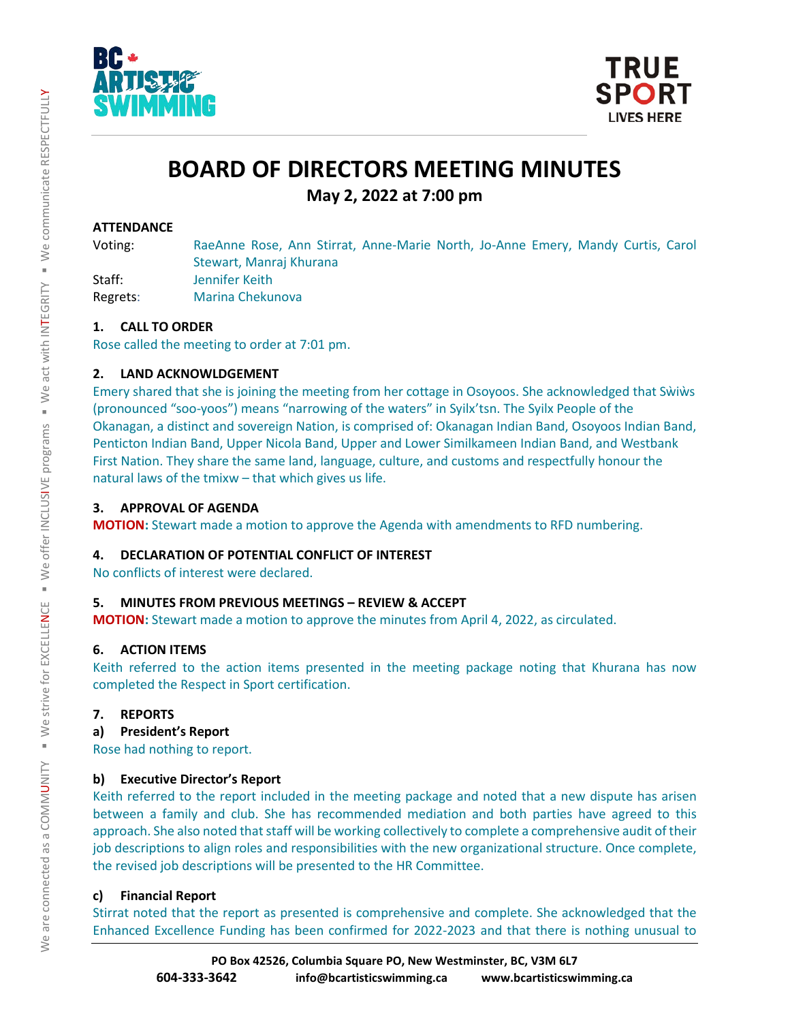



# **BOARD OF DIRECTORS MEETING MINUTES**

**May 2, 2022 at 7:00 pm**

# **ATTENDANCE**

Voting: RaeAnne Rose, Ann Stirrat, Anne-Marie North, Jo-Anne Emery, Mandy Curtis, Carol Stewart, Manraj Khurana Staff: Jennifer Keith

Regrets: Marina Chekunova

# **1. CALL TO ORDER**

Rose called the meeting to order at 7:01 pm.

# **2. LAND ACKNOWLDGEMENT**

Emery shared that she is joining the meeting from her cottage in Osoyoos. She acknowledged that Sẁiẁs (pronounced "soo-yoos") means "narrowing of the waters" in Syilx'tsn. The Syilx People of the Okanagan, a distinct and sovereign Nation, is comprised of: Okanagan Indian Band, Osoyoos Indian Band, Penticton Indian Band, Upper Nicola Band, Upper and Lower Similkameen Indian Band, and Westbank First Nation. They share the same land, language, culture, and customs and respectfully honour the natural laws of the tmixw – that which gives us life.

# **3. APPROVAL OF AGENDA**

**MOTION:** Stewart made a motion to approve the Agenda with amendments to RFD numbering.

# **4. DECLARATION OF POTENTIAL CONFLICT OF INTEREST**

No conflicts of interest were declared.

# **5. MINUTES FROM PREVIOUS MEETINGS – REVIEW & ACCEPT**

**MOTION:** Stewart made a motion to approve the minutes from April 4, 2022, as circulated.

# **6. ACTION ITEMS**

Keith referred to the action items presented in the meeting package noting that Khurana has now completed the Respect in Sport certification.

## **7. REPORTS**

**a) President's Report**

Rose had nothing to report.

# **b) Executive Director's Report**

Keith referred to the report included in the meeting package and noted that a new dispute has arisen between a family and club. She has recommended mediation and both parties have agreed to this approach. She also noted that staff will be working collectively to complete a comprehensive audit of their job descriptions to align roles and responsibilities with the new organizational structure. Once complete, the revised job descriptions will be presented to the HR Committee.

# **c) Financial Report**

Stirrat noted that the report as presented is comprehensive and complete. She acknowledged that the Enhanced Excellence Funding has been confirmed for 2022-2023 and that there is nothing unusual to

 $\succ$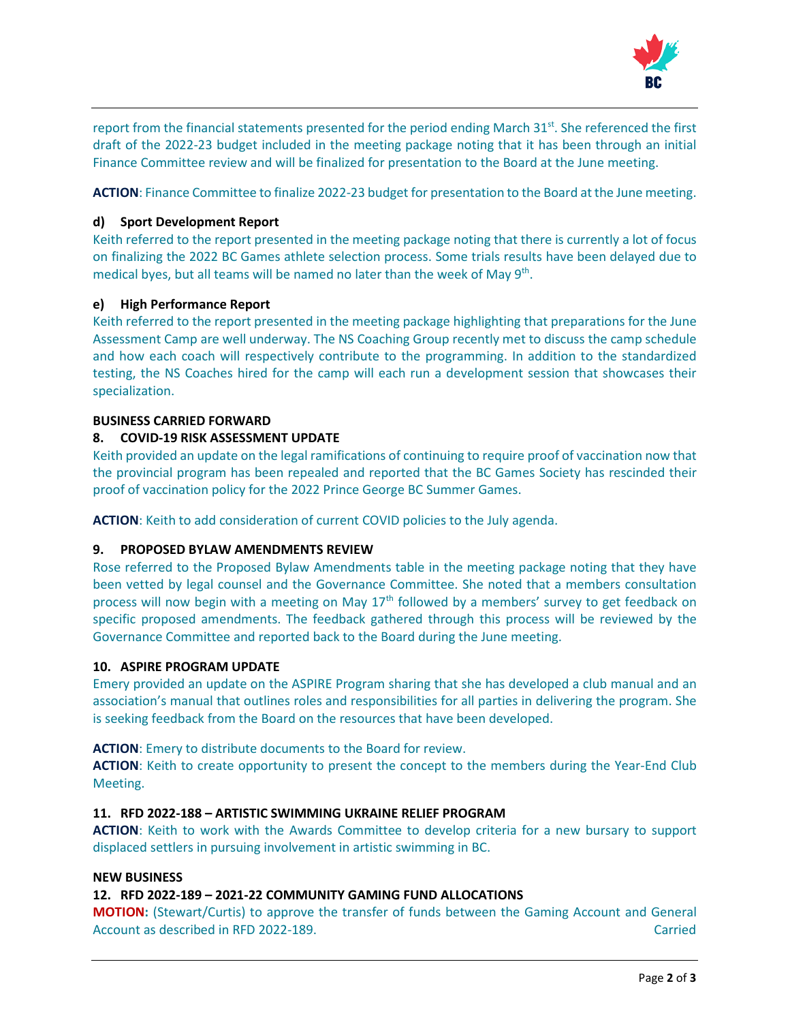

report from the financial statements presented for the period ending March 31<sup>st</sup>. She referenced the first draft of the 2022-23 budget included in the meeting package noting that it has been through an initial Finance Committee review and will be finalized for presentation to the Board at the June meeting.

**ACTION**: Finance Committee to finalize 2022-23 budget for presentation to the Board at the June meeting.

## **d) Sport Development Report**

Keith referred to the report presented in the meeting package noting that there is currently a lot of focus on finalizing the 2022 BC Games athlete selection process. Some trials results have been delayed due to medical byes, but all teams will be named no later than the week of May 9<sup>th</sup>.

## **e) High Performance Report**

Keith referred to the report presented in the meeting package highlighting that preparations for the June Assessment Camp are well underway. The NS Coaching Group recently met to discuss the camp schedule and how each coach will respectively contribute to the programming. In addition to the standardized testing, the NS Coaches hired for the camp will each run a development session that showcases their specialization.

#### **BUSINESS CARRIED FORWARD**

## **8. COVID-19 RISK ASSESSMENT UPDATE**

Keith provided an update on the legal ramifications of continuing to require proof of vaccination now that the provincial program has been repealed and reported that the BC Games Society has rescinded their proof of vaccination policy for the 2022 Prince George BC Summer Games.

**ACTION**: Keith to add consideration of current COVID policies to the July agenda.

#### **9. PROPOSED BYLAW AMENDMENTS REVIEW**

Rose referred to the Proposed Bylaw Amendments table in the meeting package noting that they have been vetted by legal counsel and the Governance Committee. She noted that a members consultation process will now begin with a meeting on May  $17<sup>th</sup>$  followed by a members' survey to get feedback on specific proposed amendments. The feedback gathered through this process will be reviewed by the Governance Committee and reported back to the Board during the June meeting.

#### **10. ASPIRE PROGRAM UPDATE**

Emery provided an update on the ASPIRE Program sharing that she has developed a club manual and an association's manual that outlines roles and responsibilities for all parties in delivering the program. She is seeking feedback from the Board on the resources that have been developed.

**ACTION**: Emery to distribute documents to the Board for review.

**ACTION**: Keith to create opportunity to present the concept to the members during the Year-End Club Meeting.

## **11. RFD 2022-188 – ARTISTIC SWIMMING UKRAINE RELIEF PROGRAM**

**ACTION**: Keith to work with the Awards Committee to develop criteria for a new bursary to support displaced settlers in pursuing involvement in artistic swimming in BC.

#### **NEW BUSINESS**

#### **12. RFD 2022-189 – 2021-22 COMMUNITY GAMING FUND ALLOCATIONS**

**MOTION:** (Stewart/Curtis) to approve the transfer of funds between the Gaming Account and General Account as described in RFD 2022-189. Carried